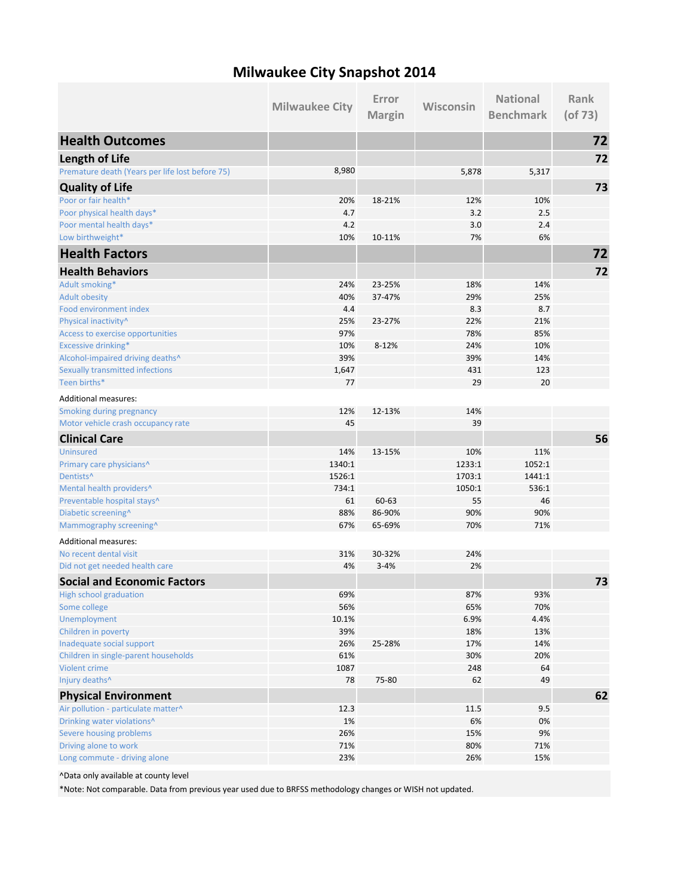## **Milwaukee City Snapshot 2014**

|                                                 | <b>Milwaukee City</b> | Error<br><b>Margin</b> | Wisconsin  | <b>National</b><br><b>Benchmark</b> | Rank<br>$($ of 73 $)$ |
|-------------------------------------------------|-----------------------|------------------------|------------|-------------------------------------|-----------------------|
| <b>Health Outcomes</b>                          |                       |                        |            |                                     | 72                    |
| <b>Length of Life</b>                           |                       |                        |            |                                     | 72                    |
| Premature death (Years per life lost before 75) | 8,980                 |                        | 5,878      | 5,317                               |                       |
| <b>Quality of Life</b>                          |                       |                        |            |                                     | 73                    |
| Poor or fair health*                            | 20%                   | 18-21%                 | 12%        | 10%                                 |                       |
| Poor physical health days*                      | 4.7                   |                        | 3.2        | 2.5                                 |                       |
| Poor mental health days*                        | 4.2                   |                        | 3.0        | 2.4                                 |                       |
| Low birthweight*                                | 10%                   | 10-11%                 | 7%         | 6%                                  |                       |
| <b>Health Factors</b>                           |                       |                        |            |                                     | 72                    |
| <b>Health Behaviors</b>                         |                       |                        |            |                                     | 72                    |
| Adult smoking*                                  | 24%                   | 23-25%                 | 18%        | 14%                                 |                       |
| <b>Adult obesity</b>                            | 40%                   | 37-47%                 | 29%        | 25%                                 |                       |
| Food environment index                          | 4.4                   |                        | 8.3        | 8.7                                 |                       |
| Physical inactivity^                            | 25%                   | 23-27%                 | 22%        | 21%                                 |                       |
| Access to exercise opportunities                | 97%                   |                        | 78%        | 85%                                 |                       |
| Excessive drinking*                             | 10%                   | 8-12%                  | 24%        | 10%                                 |                       |
| Alcohol-impaired driving deaths^                | 39%                   |                        | 39%        | 14%                                 |                       |
| Sexually transmitted infections                 | 1,647                 |                        | 431        | 123                                 |                       |
| Teen births*                                    | 77                    |                        | 29         | 20                                  |                       |
| <b>Additional measures:</b>                     |                       |                        |            |                                     |                       |
| Smoking during pregnancy                        | 12%                   | 12-13%                 | 14%        |                                     |                       |
| Motor vehicle crash occupancy rate              | 45                    |                        | 39         |                                     |                       |
| <b>Clinical Care</b>                            |                       |                        |            |                                     | 56                    |
| <b>Uninsured</b>                                | 14%                   | 13-15%                 | 10%        | 11%                                 |                       |
| Primary care physicians^                        | 1340:1                |                        | 1233:1     | 1052:1                              |                       |
| Dentists <sup>^</sup>                           | 1526:1                |                        | 1703:1     | 1441:1                              |                       |
| Mental health providers^                        | 734:1                 |                        | 1050:1     | 536:1                               |                       |
| Preventable hospital stays^                     | 61                    | 60-63<br>86-90%        | 55         | 46                                  |                       |
| Diabetic screening^<br>Mammography screening^   | 88%<br>67%            | 65-69%                 | 90%<br>70% | 90%<br>71%                          |                       |
| <b>Additional measures:</b>                     |                       |                        |            |                                     |                       |
| No recent dental visit                          | 31%                   | 30-32%                 | 24%        |                                     |                       |
| Did not get needed health care                  | 4%                    | $3 - 4%$               | 2%         |                                     |                       |
| <b>Social and Economic Factors</b>              |                       |                        |            |                                     | 73                    |
| High school graduation                          | 69%                   |                        | 87%        | 93%                                 |                       |
| Some college                                    | 56%                   |                        | 65%        | 70%                                 |                       |
| Unemployment                                    | 10.1%                 |                        | 6.9%       | 4.4%                                |                       |
| Children in poverty                             | 39%                   |                        | 18%        | 13%                                 |                       |
| Inadequate social support                       | 26%                   | 25-28%                 | 17%        | 14%                                 |                       |
| Children in single-parent households            | 61%                   |                        | 30%        | 20%                                 |                       |
| <b>Violent crime</b>                            | 1087                  |                        | 248        | 64                                  |                       |
| Injury deaths^                                  | 78                    | 75-80                  | 62         | 49                                  |                       |
| <b>Physical Environment</b>                     |                       |                        |            |                                     | 62                    |
| Air pollution - particulate matter^             | 12.3                  |                        | 11.5       | 9.5                                 |                       |
| Drinking water violations^                      | $1\%$                 |                        | 6%         | 0%                                  |                       |
| Severe housing problems                         | 26%                   |                        | 15%        | 9%                                  |                       |
| Driving alone to work                           | 71%                   |                        | 80%        | 71%                                 |                       |
| Long commute - driving alone                    | 23%                   |                        | 26%        | 15%                                 |                       |

^Data only available at county level

\*Note: Not comparable. Data from previous year used due to BRFSS methodology changes or WISH not updated.